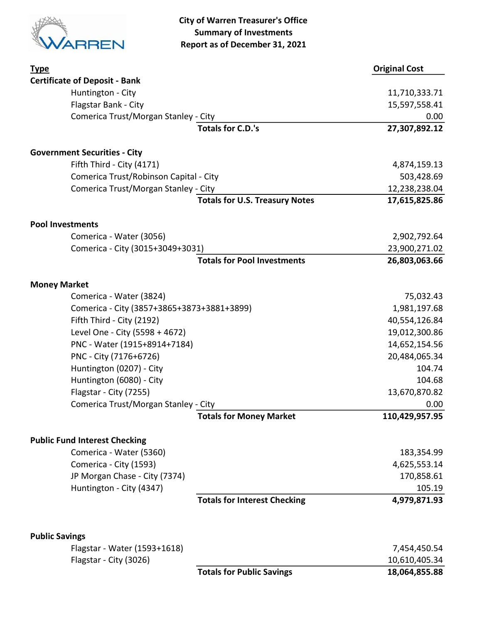

| <b>Type</b>                                |                                       | <b>Original Cost</b> |
|--------------------------------------------|---------------------------------------|----------------------|
| <b>Certificate of Deposit - Bank</b>       |                                       |                      |
| Huntington - City                          |                                       | 11,710,333.71        |
| Flagstar Bank - City                       |                                       | 15,597,558.41        |
| Comerica Trust/Morgan Stanley - City       |                                       | 0.00                 |
|                                            | <b>Totals for C.D.'s</b>              | 27,307,892.12        |
| <b>Government Securities - City</b>        |                                       |                      |
| Fifth Third - City (4171)                  |                                       | 4,874,159.13         |
| Comerica Trust/Robinson Capital - City     |                                       | 503,428.69           |
| Comerica Trust/Morgan Stanley - City       |                                       | 12,238,238.04        |
|                                            | <b>Totals for U.S. Treasury Notes</b> | 17,615,825.86        |
| <b>Pool Investments</b>                    |                                       |                      |
| Comerica - Water (3056)                    |                                       | 2,902,792.64         |
| Comerica - City (3015+3049+3031)           |                                       | 23,900,271.02        |
|                                            | <b>Totals for Pool Investments</b>    | 26,803,063.66        |
| <b>Money Market</b>                        |                                       |                      |
| Comerica - Water (3824)                    |                                       | 75,032.43            |
| Comerica - City (3857+3865+3873+3881+3899) |                                       | 1,981,197.68         |
| Fifth Third - City (2192)                  |                                       | 40,554,126.84        |
| Level One - City (5598 + 4672)             |                                       | 19,012,300.86        |
| PNC - Water (1915+8914+7184)               |                                       | 14,652,154.56        |
| PNC - City (7176+6726)                     |                                       | 20,484,065.34        |
| Huntington (0207) - City                   |                                       | 104.74               |
| Huntington (6080) - City                   |                                       | 104.68               |
| Flagstar - City (7255)                     |                                       | 13,670,870.82        |
| Comerica Trust/Morgan Stanley - City       |                                       | 0.00                 |
|                                            | <b>Totals for Money Market</b>        | 110,429,957.95       |
| <b>Public Fund Interest Checking</b>       |                                       |                      |
| Comerica - Water (5360)                    |                                       | 183,354.99           |
| Comerica - City (1593)                     |                                       | 4,625,553.14         |
| JP Morgan Chase - City (7374)              |                                       | 170,858.61           |
| Huntington - City (4347)                   |                                       | 105.19               |
|                                            | <b>Totals for Interest Checking</b>   | 4,979,871.93         |
| <b>Public Savings</b>                      |                                       |                      |
| Flagstar - Water (1593+1618)               |                                       | 7,454,450.54         |
| Flagstar - City (3026)                     |                                       | 10,610,405.34        |
|                                            | <b>Totals for Public Savings</b>      | 18,064,855.88        |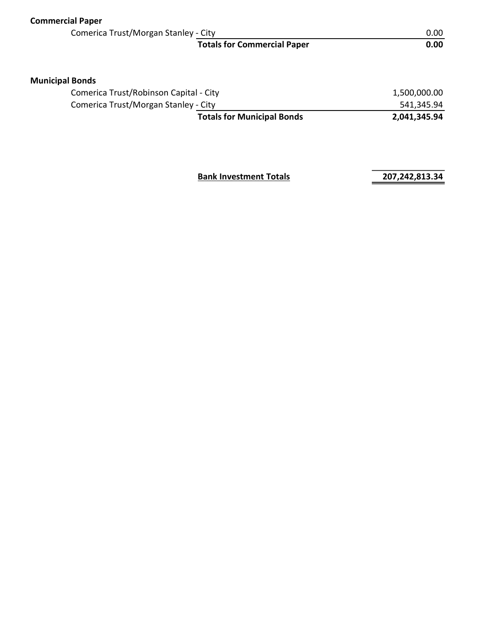| <b>Commercial Paper</b> |                                        |              |
|-------------------------|----------------------------------------|--------------|
|                         | Comerica Trust/Morgan Stanley - City   |              |
|                         | <b>Totals for Commercial Paper</b>     | 0.00         |
| <b>Municipal Bonds</b>  |                                        |              |
|                         | Comerica Trust/Robinson Capital - City | 1,500,000.00 |
|                         | Comerica Trust/Morgan Stanley - City   | 541,345.94   |
|                         | <b>Totals for Municipal Bonds</b>      | 2,041,345.94 |
|                         |                                        |              |

**Bank Investment Totals 207,242,813.34**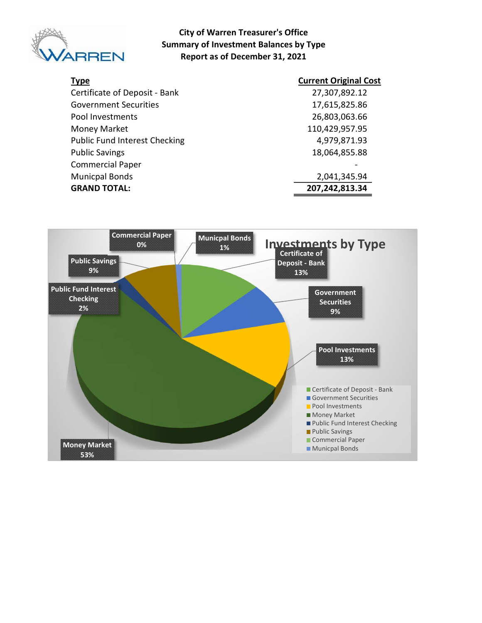

### City of Warren Treasurer's Office Summary of Investment Balances by Type Report as of December 31, 2021

| <b>Type</b>                          | <b>Current Original Cost</b> |
|--------------------------------------|------------------------------|
| Certificate of Deposit - Bank        | 27,307,892.12                |
| <b>Government Securities</b>         | 17,615,825.86                |
| Pool Investments                     | 26,803,063.66                |
| Money Market                         | 110,429,957.95               |
| <b>Public Fund Interest Checking</b> | 4,979,871.93                 |
| <b>Public Savings</b>                | 18,064,855.88                |
| <b>Commercial Paper</b>              |                              |
| <b>Municpal Bonds</b>                | 2,041,345.94                 |
| <b>GRAND TOTAL:</b>                  | 207,242,813.34               |

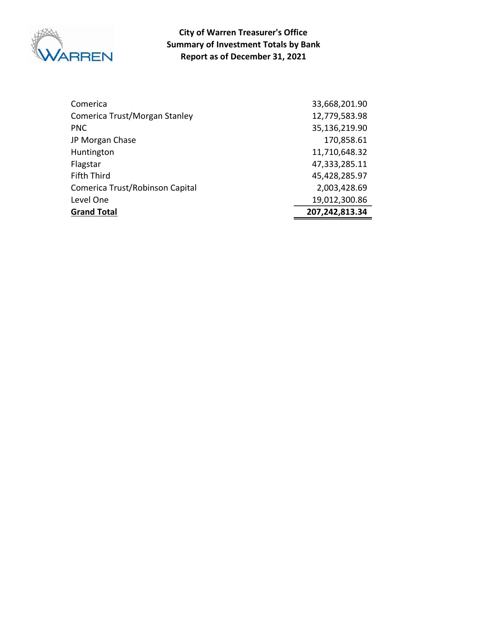

Report as of December 31, 2021 City of Warren Treasurer's Office Summary of Investment Totals by Bank

| Comerica                        | 33,668,201.90  |
|---------------------------------|----------------|
| Comerica Trust/Morgan Stanley   | 12,779,583.98  |
| <b>PNC</b>                      | 35,136,219.90  |
| JP Morgan Chase                 | 170,858.61     |
| Huntington                      | 11,710,648.32  |
| Flagstar                        | 47,333,285.11  |
| <b>Fifth Third</b>              | 45,428,285.97  |
| Comerica Trust/Robinson Capital | 2,003,428.69   |
| Level One                       | 19,012,300.86  |
| <b>Grand Total</b>              | 207,242,813.34 |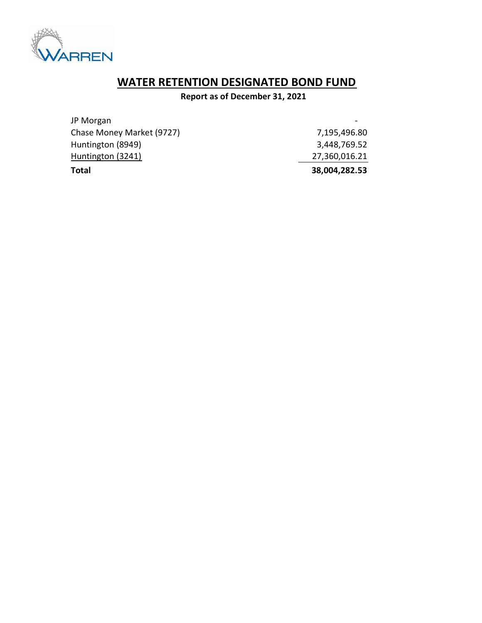

# WATER RETENTION DESIGNATED BOND FUND

Report as of December 31, 2021

| Total                     | 38,004,282.53 |
|---------------------------|---------------|
| Huntington (3241)         | 27,360,016.21 |
| Huntington (8949)         | 3,448,769.52  |
| Chase Money Market (9727) | 7,195,496.80  |
| JP Morgan                 |               |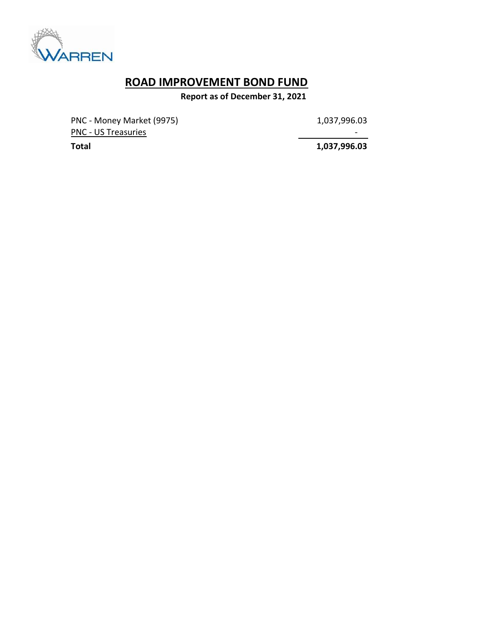

## ROAD IMPROVEMENT BOND FUND

Report as of December 31, 2021

PNC - Money Market (9975) 1,037,996.03 PNC - US Treasuries - Andreasuries - Andreasuries - Andreasuries - Andreasuries - Andreasuries - Andreasuries

Total 1,037,996.03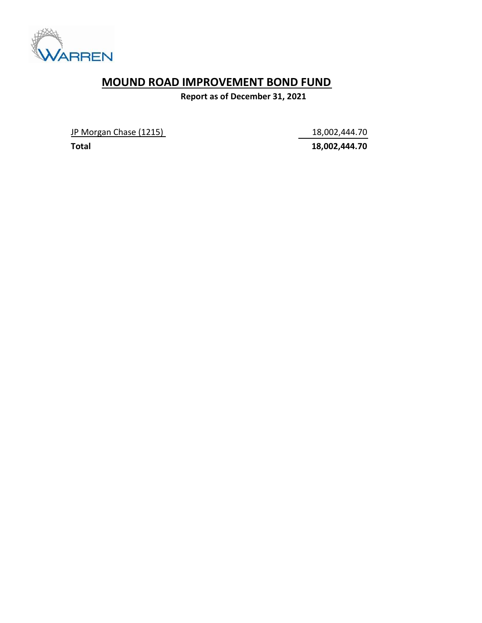

## MOUND ROAD IMPROVEMENT BOND FUND

Report as of December 31, 2021

JP Morgan Chase (1215) 18,002,444.70

Total 18,002,444.70